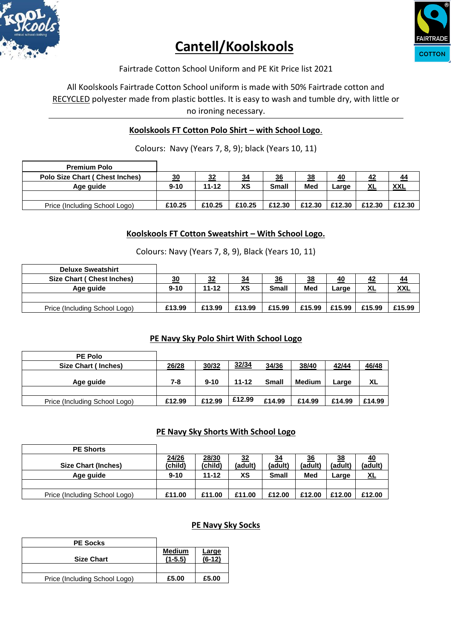

# **Cantell/Koolskools**



Fairtrade Cotton School Uniform and PE Kit Price list 2021

All Koolskools Fairtrade Cotton School uniform is made with 50% Fairtrade cotton and RECYCLED polyester made from plastic bottles. It is easy to wash and tumble dry, with little or no ironing necessary.

# **Koolskools FT Cotton Polo Shirt – with School Logo**.

Colours: Navy (Years 7, 8, 9); black (Years 10, 11)

| <b>Premium Polo</b>                    |          |           |           |              |           |        |        |            |
|----------------------------------------|----------|-----------|-----------|--------------|-----------|--------|--------|------------|
| <b>Polo Size Chart ( Chest Inches)</b> | 30       | <u>32</u> | <u>34</u> | 36           | <u>38</u> | 40     | 42     | 44         |
| Age guide                              | $9 - 10$ | $11 - 12$ | XS        | <b>Small</b> | Med       | Large  | XL     | <b>XXL</b> |
|                                        |          |           |           |              |           |        |        |            |
| Price (Including School Logo)          | £10.25   | £10.25    | £10.25    | £12.30       | £12.30    | £12.30 | £12.30 | £12.30     |

#### **Koolskools FT Cotton Sweatshirt – With School Logo.**

Colours: Navy (Years 7, 8, 9), Black (Years 10, 11)

| <b>Deluxe Sweatshirt</b>      |          |           |        |              |        |                 |           |            |
|-------------------------------|----------|-----------|--------|--------------|--------|-----------------|-----------|------------|
| Size Chart (Chest Inches)     | 30       | 32        | 34     | 36           | 38     | 40              | 42        | 44         |
| Age guide                     | $9 - 10$ | $11 - 12$ | XS     | <b>Small</b> | Med    | $\sqrt{2}$ arge | <u>XL</u> | <b>XXL</b> |
|                               |          |           |        |              |        |                 |           |            |
| Price (Including School Logo) | £13.99   | £13.99    | £13.99 | £15.99       | £15.99 | £15.99          | £15.99    | £15.99     |

### **PE Navy Sky Polo Shirt With School Logo**

| <b>PE Polo</b>                |        |          |           |              |               |        |        |
|-------------------------------|--------|----------|-----------|--------------|---------------|--------|--------|
| Size Chart (Inches)           | 26/28  | 30/32    | 32/34     | 34/36        | 38/40         | 42/44  | 46/48  |
| Age guide                     | 7-8    | $9 - 10$ | $11 - 12$ | <b>Small</b> | <b>Medium</b> | Large  | XL     |
|                               |        |          |           |              |               |        |        |
| Price (Including School Logo) | £12.99 | £12.99   | £12.99    | £14.99       | £14.99        | £14.99 | £14.99 |

#### **PE Navy Sky Shorts With School Logo**

| <b>PE Shorts</b>              |          |           |         |              |         |         |           |
|-------------------------------|----------|-----------|---------|--------------|---------|---------|-----------|
|                               | 24/26    | 28/30     | 32      | <u>34</u>    | 36      | 38      | 40        |
| <b>Size Chart (Inches)</b>    | (child)  | (child)   | (adult) | (adult)      | (adult) | (adult) | (adult)   |
| Age guide                     | $9 - 10$ | $11 - 12$ | ХS      | <b>Small</b> | Med     | Large   | <u>XL</u> |
|                               |          |           |         |              |         |         |           |
| Price (Including School Logo) | £11.00   | £11.00    | £11.00  | £12.00       | £12.00  | £12.00  | £12.00    |

#### **PE Navy Sky Socks**

| <b>PE Socks</b>               |                            |                   |
|-------------------------------|----------------------------|-------------------|
| <b>Size Chart</b>             | <b>Medium</b><br>$(1-5.5)$ | Large<br>$(6-12)$ |
|                               |                            |                   |
| Price (Including School Logo) | £5.00                      | £5.00             |